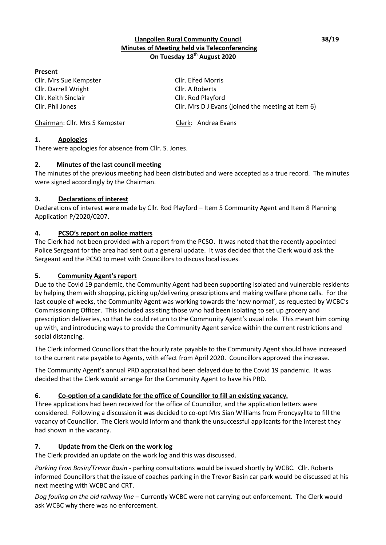## **Llangollen Rural Community Council 38/19 Minutes of Meeting held via Teleconferencing On Tuesday 18th August 2020**

## **Present**

Cllr. Mrs Sue Kempster Cllr. Elfed Morris Cllr. Darrell Wright Cllr. A Roberts Cllr. Keith Sinclair Cllr. Rod Playford

Cllr. Phil Jones Cllr. Mrs D J Evans (joined the meeting at Item 6)

Chairman: Cllr. Mrs S Kempster Clerk: Andrea Evans

# **1. Apologies**

There were apologies for absence from Cllr. S. Jones.

### **2. Minutes of the last council meeting**

The minutes of the previous meeting had been distributed and were accepted as a true record. The minutes were signed accordingly by the Chairman.

# **3. Declarations of interest**

Declarations of interest were made by Cllr. Rod Playford – Item 5 Community Agent and Item 8 Planning Application P/2020/0207.

### **4. PCSO's report on police matters**

The Clerk had not been provided with a report from the PCSO. It was noted that the recently appointed Police Sergeant for the area had sent out a general update. It was decided that the Clerk would ask the Sergeant and the PCSO to meet with Councillors to discuss local issues.

#### **5. Community Agent's report**

Due to the Covid 19 pandemic, the Community Agent had been supporting isolated and vulnerable residents by helping them with shopping, picking up/delivering prescriptions and making welfare phone calls. For the last couple of weeks, the Community Agent was working towards the 'new normal', as requested by WCBC's Commissioning Officer. This included assisting those who had been isolating to set up grocery and prescription deliveries, so that he could return to the Community Agent's usual role. This meant him coming up with, and introducing ways to provide the Community Agent service within the current restrictions and social distancing.

The Clerk informed Councillors that the hourly rate payable to the Community Agent should have increased to the current rate payable to Agents, with effect from April 2020. Councillors approved the increase.

The Community Agent's annual PRD appraisal had been delayed due to the Covid 19 pandemic. It was decided that the Clerk would arrange for the Community Agent to have his PRD.

# **6. Co-option of a candidate for the office of Councillor to fill an existing vacancy.**

Three applications had been received for the office of Councillor, and the application letters were considered. Following a discussion it was decided to co-opt Mrs Sian Williams from Froncysyllte to fill the vacancy of Councillor. The Clerk would inform and thank the unsuccessful applicants for the interest they had shown in the vacancy.

# **7. Update from the Clerk on the work log**

The Clerk provided an update on the work log and this was discussed.

*Parking Fron Basin/Trevor Basin* - parking consultations would be issued shortly by WCBC. Cllr. Roberts informed Councillors that the issue of coaches parking in the Trevor Basin car park would be discussed at his next meeting with WCBC and CRT.

*Dog fouling on the old railway line* – Currently WCBC were not carrying out enforcement. The Clerk would ask WCBC why there was no enforcement.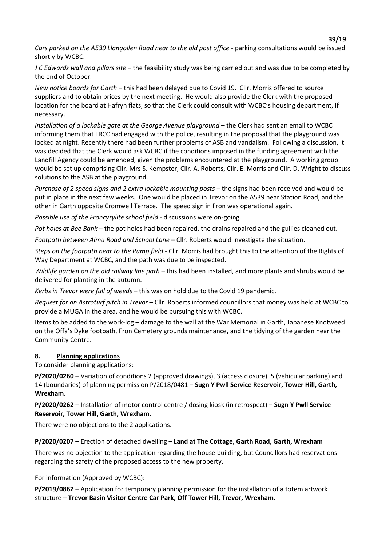*Cars parked on the A539 Llangollen Road near to the old post office* - parking consultations would be issued shortly by WCBC.

*J C Edwards wall and pillars site* – the feasibility study was being carried out and was due to be completed by the end of October.

*New notice boards for Garth* – this had been delayed due to Covid 19. Cllr. Morris offered to source suppliers and to obtain prices by the next meeting. He would also provide the Clerk with the proposed location for the board at Hafryn flats, so that the Clerk could consult with WCBC's housing department, if necessary.

*Installation of a lockable gate at the George Avenue playground* – the Clerk had sent an email to WCBC informing them that LRCC had engaged with the police, resulting in the proposal that the playground was locked at night. Recently there had been further problems of ASB and vandalism. Following a discussion, it was decided that the Clerk would ask WCBC if the conditions imposed in the funding agreement with the Landfill Agency could be amended, given the problems encountered at the playground. A working group would be set up comprising Cllr. Mrs S. Kempster, Cllr. A. Roberts, Cllr. E. Morris and Cllr. D. Wright to discuss solutions to the ASB at the playground.

*Purchase of 2 speed signs and 2 extra lockable mounting posts* – the signs had been received and would be put in place in the next few weeks. One would be placed in Trevor on the A539 near Station Road, and the other in Garth opposite Cromwell Terrace. The speed sign in Fron was operational again.

*Possible use of the Froncysyllte school field* - discussions were on-going.

*Pot holes at Bee Bank* – the pot holes had been repaired, the drains repaired and the gullies cleaned out.

*Footpath between Alma Road and School Lane* – Cllr. Roberts would investigate the situation.

*Steps on the footpath near to the Pump field* - Cllr. Morris had brought this to the attention of the Rights of Way Department at WCBC, and the path was due to be inspected.

*Wildlife garden on the old railway line path – this had been installed, and more plants and shrubs would be* delivered for planting in the autumn.

*Kerbs in Trevor were full of weeds* – this was on hold due to the Covid 19 pandemic.

*Request for an Astroturf pitch in Trevor* – Cllr. Roberts informed councillors that money was held at WCBC to provide a MUGA in the area, and he would be pursuing this with WCBC.

Items to be added to the work-log – damage to the wall at the War Memorial in Garth, Japanese Knotweed on the Offa's Dyke footpath, Fron Cemetery grounds maintenance, and the tidying of the garden near the Community Centre.

# **8. Planning applications**

To consider planning applications:

**P/2020/0260 –** Variation of conditions 2 (approved drawings), 3 (access closure), 5 (vehicular parking) and 14 (boundaries) of planning permission P/2018/0481 – **Sugn Y Pwll Service Reservoir, Tower Hill, Garth, Wrexham.**

**P/2020/0262** – Installation of motor control centre / dosing kiosk (in retrospect) – **Sugn Y Pwll Service Reservoir, Tower Hill, Garth, Wrexham.**

There were no objections to the 2 applications.

**P/2020/0207** – Erection of detached dwelling – **Land at The Cottage, Garth Road, Garth, Wrexham**

There was no objection to the application regarding the house building, but Councillors had reservations regarding the safety of the proposed access to the new property.

For information (Approved by WCBC):

**P/2019/0862 –** Application for temporary planning permission for the installation of a totem artwork structure – **Trevor Basin Visitor Centre Car Park, Off Tower Hill, Trevor, Wrexham.**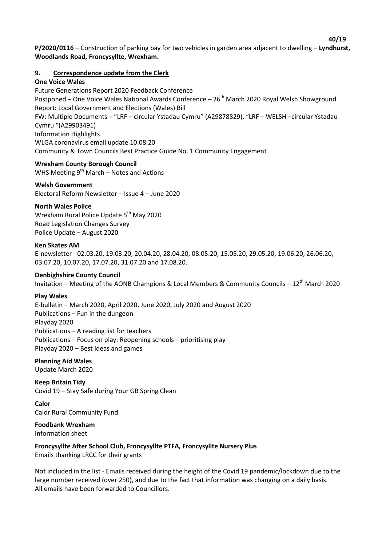**P/2020/0116** – Construction of parking bay for two vehicles in garden area adjacent to dwelling – **Lyndhurst, Woodlands Road, Froncysyllte, Wrexham.**

## **9. Correspondence update from the Clerk**

#### **One Voice Wales**

Future Generations Report 2020 Feedback Conference Postponed – One Voice Wales National Awards Conference – 26<sup>th</sup> March 2020 Royal Welsh Showground Report: Local Government and Elections (Wales) Bill FW: Multiple Documents – "LRF – circular Ystadau Cymru" (A29878829), "LRF – WELSH –circular Ystadau Cymru "(A29903491) Information Highlights WLGA coronavirus email update 10.08.20 Community & Town Councils Best Practice Guide No. 1 Community Engagement

# **Wrexham County Borough Council**

WHS Meeting  $9<sup>th</sup>$  March – Notes and Actions

### **Welsh Government**

Electoral Reform Newsletter – Issue 4 – June 2020

#### **North Wales Police**

Wrexham Rural Police Update 5<sup>th</sup> May 2020 Road Legislation Changes Survey Police Update – August 2020

#### **Ken Skates AM**

E-newsletter - 02.03.20, 19.03.20, 20.04.20, 28.04.20, 08.05.20, 15.05.20, 29.05.20, 19.06.20, 26.06.20, 03.07.20, 10.07.20, 17.07.20, 31.07.20 and 17.08.20.

#### **Denbighshire County Council**

Invitation – Meeting of the AONB Champions & Local Members & Community Councils –  $12^{th}$  March 2020

#### **Play Wales**

E-bulletin – March 2020, April 2020, June 2020, July 2020 and August 2020 Publications – Fun in the dungeon Playday 2020 Publications – A reading list for teachers Publications – Focus on play: Reopening schools – prioritising play Playday 2020 – Best ideas and games

**Planning Aid Wales** Update March 2020

**Keep Britain Tidy** Covid 19 – Stay Safe during Your GB Spring Clean

**Calor**  Calor Rural Community Fund

**Foodbank Wrexham** Information sheet

**Froncysyllte After School Club, Froncysyllte PTFA, Froncysyllte Nursery Plus** Emails thanking LRCC for their grants

Not included in the list - Emails received during the height of the Covid 19 pandemic/lockdown due to the large number received (over 250), and due to the fact that information was changing on a daily basis. All emails have been forwarded to Councillors.

 **40/19**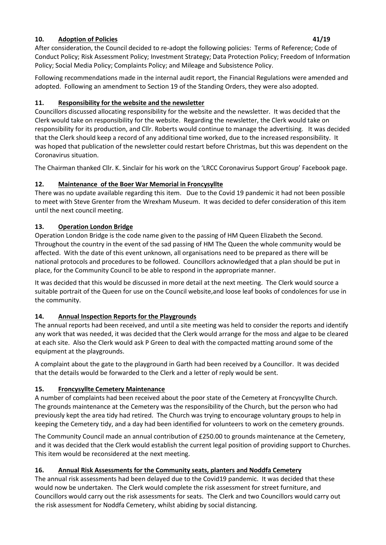# **10. Adoption of Policies 41/19**

After consideration, the Council decided to re-adopt the following policies: Terms of Reference; Code of Conduct Policy; Risk Assessment Policy; Investment Strategy; Data Protection Policy; Freedom of Information Policy; Social Media Policy; Complaints Policy; and Mileage and Subsistence Policy.

Following recommendations made in the internal audit report, the Financial Regulations were amended and adopted. Following an amendment to Section 19 of the Standing Orders, they were also adopted.

# **11. Responsibility for the website and the newsletter**

Councillors discussed allocating responsibility for the website and the newsletter. It was decided that the Clerk would take on responsibility for the website. Regarding the newsletter, the Clerk would take on responsibility for its production, and Cllr. Roberts would continue to manage the advertising. It was decided that the Clerk should keep a record of any additional time worked, due to the increased responsibility. It was hoped that publication of the newsletter could restart before Christmas, but this was dependent on the Coronavirus situation.

The Chairman thanked Cllr. K. Sinclair for his work on the 'LRCC Coronavirus Support Group' Facebook page.

# **12. Maintenance of the Boer War Memorial in Froncysyllte**

There was no update available regarding this item. Due to the Covid 19 pandemic it had not been possible to meet with Steve Grenter from the Wrexham Museum. It was decided to defer consideration of this item until the next council meeting.

# **13. Operation London Bridge**

Operation London Bridge is the code name given to the passing of HM Queen Elizabeth the Second. Throughout the country in the event of the sad passing of HM The Queen the whole community would be affected. With the date of this event unknown, all organisations need to be prepared as there will be national protocols and procedures to be followed. Councillors acknowledged that a plan should be put in place, for the Community Council to be able to respond in the appropriate manner.

It was decided that this would be discussed in more detail at the next meeting. The Clerk would source a suitable portrait of the Queen for use on the Council website,and loose leaf books of condolences for use in the community.

# **14. Annual Inspection Reports for the Playgrounds**

The annual reports had been received, and until a site meeting was held to consider the reports and identify any work that was needed, it was decided that the Clerk would arrange for the moss and algae to be cleared at each site. Also the Clerk would ask P Green to deal with the compacted matting around some of the equipment at the playgrounds.

A complaint about the gate to the playground in Garth had been received by a Councillor. It was decided that the details would be forwarded to the Clerk and a letter of reply would be sent.

# **15. Froncysyllte Cemetery Maintenance**

A number of complaints had been received about the poor state of the Cemetery at Froncysyllte Church. The grounds maintenance at the Cemetery was the responsibility of the Church, but the person who had previously kept the area tidy had retired. The Church was trying to encourage voluntary groups to help in keeping the Cemetery tidy, and a day had been identified for volunteers to work on the cemetery grounds.

The Community Council made an annual contribution of £250.00 to grounds maintenance at the Cemetery, and it was decided that the Clerk would establish the current legal position of providing support to Churches. This item would be reconsidered at the next meeting.

# **16. Annual Risk Assessments for the Community seats, planters and Noddfa Cemetery**

The annual risk assessments had been delayed due to the Covid19 pandemic. It was decided that these would now be undertaken. The Clerk would complete the risk assessment for street furniture, and Councillors would carry out the risk assessments for seats. The Clerk and two Councillors would carry out the risk assessment for Noddfa Cemetery, whilst abiding by social distancing.